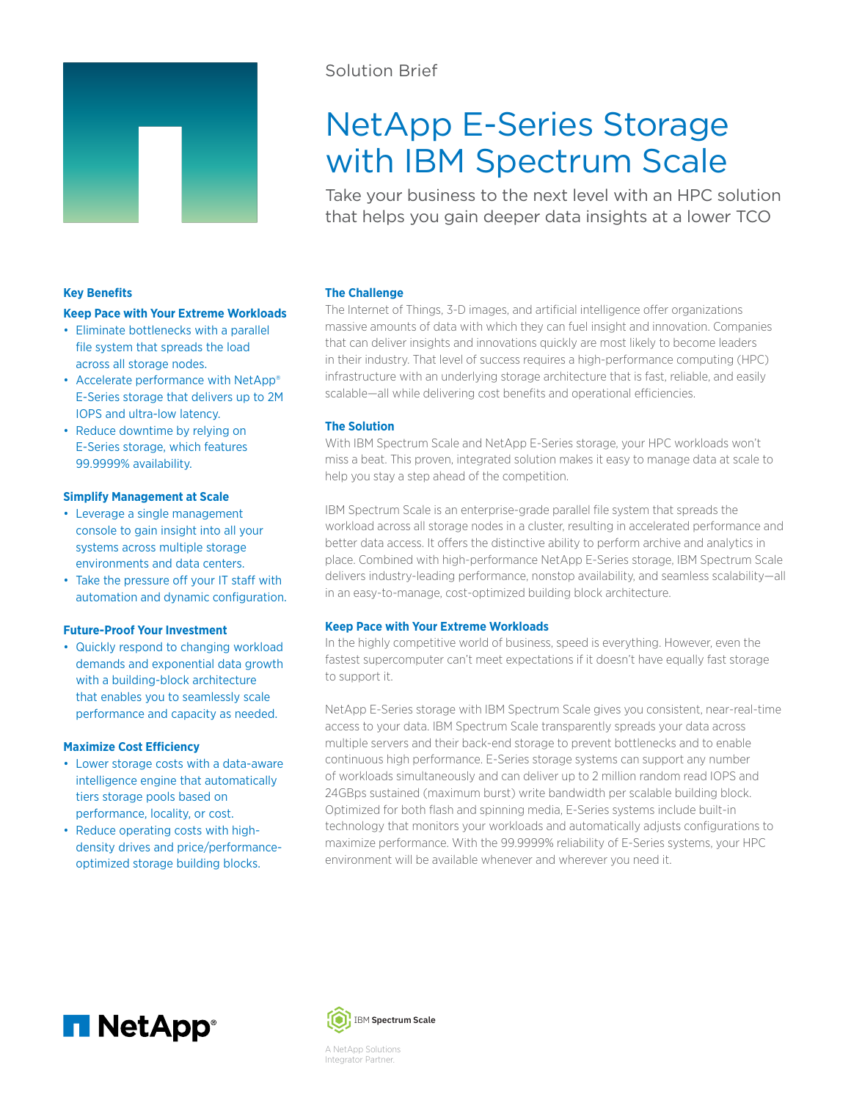

# Solution Brief

# NetApp E-Series Storage with IBM Spectrum Scale

Take your business to the next level with an HPC solution that helps you gain deeper data insights at a lower TCO

# **Key Benefits**

## **Keep Pace with Your Extreme Workloads**

- Eliminate bottlenecks with a parallel file system that spreads the load across all storage nodes.
- Accelerate performance with NetApp® E-Series storage that delivers up to 2M IOPS and ultra-low latency.
- Reduce downtime by relying on E-Series storage, which features 99.9999% availability.

#### **Simplify Management at Scale**

- Leverage a single management console to gain insight into all your systems across multiple storage environments and data centers.
- Take the pressure off your IT staff with automation and dynamic configuration.

## **Future-Proof Your Investment**

• Quickly respond to changing workload demands and exponential data growth with a building-block architecture that enables you to seamlessly scale performance and capacity as needed.

#### **Maximize Cost Efficiency**

- Lower storage costs with a data-aware intelligence engine that automatically tiers storage pools based on performance, locality, or cost.
- Reduce operating costs with highdensity drives and price/performanceoptimized storage building blocks.

#### **The Challenge**

The Internet of Things, 3-D images, and artificial intelligence offer organizations massive amounts of data with which they can fuel insight and innovation. Companies that can deliver insights and innovations quickly are most likely to become leaders in their industry. That level of success requires a high-performance computing (HPC) infrastructure with an underlying storage architecture that is fast, reliable, and easily scalable—all while delivering cost benefits and operational efficiencies.

# **The Solution**

With IBM Spectrum Scale and NetApp E-Series storage, your HPC workloads won't miss a beat. This proven, integrated solution makes it easy to manage data at scale to help you stay a step ahead of the competition.

IBM Spectrum Scale is an enterprise-grade parallel file system that spreads the workload across all storage nodes in a cluster, resulting in accelerated performance and better data access. It offers the distinctive ability to perform archive and analytics in place. Combined with high-performance NetApp E-Series storage, IBM Spectrum Scale delivers industry-leading performance, nonstop availability, and seamless scalability—all in an easy-to-manage, cost-optimized building block architecture.

#### **Keep Pace with Your Extreme Workloads**

In the highly competitive world of business, speed is everything. However, even the fastest supercomputer can't meet expectations if it doesn't have equally fast storage to support it.

NetApp E-Series storage with IBM Spectrum Scale gives you consistent, near-real-time access to your data. IBM Spectrum Scale transparently spreads your data across multiple servers and their back-end storage to prevent bottlenecks and to enable continuous high performance. E-Series storage systems can support any number of workloads simultaneously and can deliver up to 2 million random read IOPS and 24GBps sustained (maximum burst) write bandwidth per scalable building block. Optimized for both flash and spinning media, E-Series systems include built-in technology that monitors your workloads and automatically adjusts configurations to maximize performance. With the 99.9999% reliability of E-Series systems, your HPC environment will be available whenever and wherever you need it.





Integrator Partner.